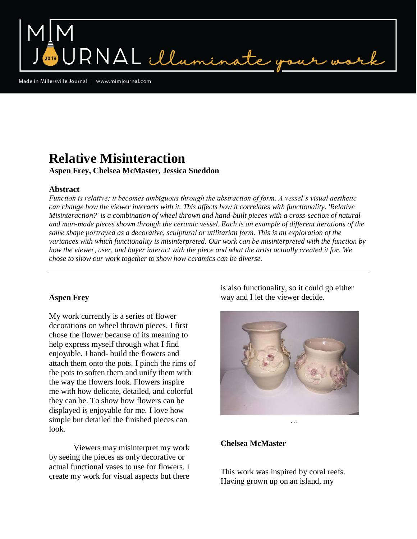Made in Millersville Journal | www.mimjournal.com

# **Relative Misinteraction**

**Aspen Frey, Chelsea McMaster, Jessica Sneddon**

RNAL illumina

## **Abstract**

*Function is relative; it becomes ambiguous through the abstraction of form. A vessel's visual aesthetic can change how the viewer interacts with it. This affects how it correlates with functionality. 'Relative Misinteraction?' is a combination of wheel thrown and hand-built pieces with a cross-section of natural and man-made pieces shown through the ceramic vessel. Each is an example of different iterations of the same shape portrayed as a decorative, sculptural or utilitarian form. This is an exploration of the variances with which functionality is misinterpreted. Our work can be misinterpreted with the function by how the viewer, user, and buyer interact with the piece and what the artist actually created it for. We chose to show our work together to show how ceramics can be diverse.*

## **Aspen Frey**

My work currently is a series of flower decorations on wheel thrown pieces. I first chose the flower because of its meaning to help express myself through what I find enjoyable. I hand- build the flowers and attach them onto the pots. I pinch the rims of the pots to soften them and unify them with the way the flowers look. Flowers inspire me with how delicate, detailed, and colorful they can be. To show how flowers can be displayed is enjoyable for me. I love how simple but detailed the finished pieces can look.

Viewers may misinterpret my work by seeing the pieces as only decorative or actual functional vases to use for flowers. I create my work for visual aspects but there

is also functionality, so it could go either way and I let the viewer decide.



### **Chelsea McMaster**

This work was inspired by coral reefs. Having grown up on an island, my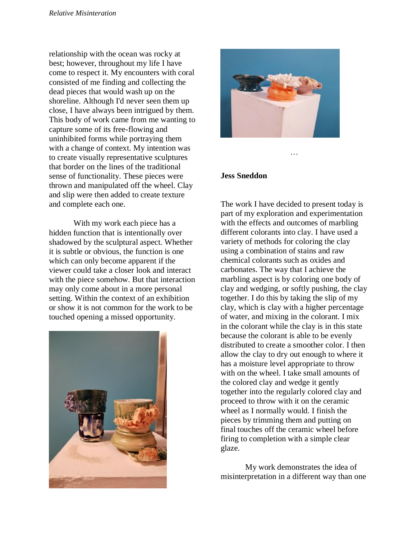relationship with the ocean was rocky at best; however, throughout my life I have come to respect it. My encounters with coral consisted of me finding and collecting the dead pieces that would wash up on the shoreline. Although I'd never seen them up close, I have always been intrigued by them. This body of work came from me wanting to capture some of its free-flowing and uninhibited forms while portraying them with a change of context. My intention was to create visually representative sculptures that border on the lines of the traditional sense of functionality. These pieces were thrown and manipulated off the wheel. Clay and slip were then added to create texture and complete each one.

With my work each piece has a hidden function that is intentionally over shadowed by the sculptural aspect. Whether it is subtle or obvious, the function is one which can only become apparent if the viewer could take a closer look and interact with the piece somehow. But that interaction may only come about in a more personal setting. Within the context of an exhibition or show it is not common for the work to be touched opening a missed opportunity.





…

#### **Jess Sneddon**

The work I have decided to present today is part of my exploration and experimentation with the effects and outcomes of marbling different colorants into clay. I have used a variety of methods for coloring the clay using a combination of stains and raw chemical colorants such as oxides and carbonates. The way that I achieve the marbling aspect is by coloring one body of clay and wedging, or softly pushing, the clay together. I do this by taking the slip of my clay, which is clay with a higher percentage of water, and mixing in the colorant. I mix in the colorant while the clay is in this state because the colorant is able to be evenly distributed to create a smoother color. I then allow the clay to dry out enough to where it has a moisture level appropriate to throw with on the wheel. I take small amounts of the colored clay and wedge it gently together into the regularly colored clay and proceed to throw with it on the ceramic wheel as I normally would. I finish the pieces by trimming them and putting on final touches off the ceramic wheel before firing to completion with a simple clear glaze.

My work demonstrates the idea of misinterpretation in a different way than one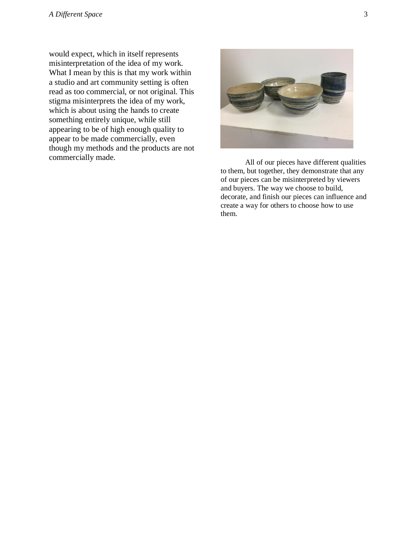would expect, which in itself represents misinterpretation of the idea of my work. What I mean by this is that my work within a studio and art community setting is often read as too commercial, or not original. This stigma misinterprets the idea of my work, which is about using the hands to create something entirely unique, while still appearing to be of high enough quality to appear to be made commercially, even though my methods and the products are not commercially made. All of our pieces have different qualities



to them, but together, they demonstrate that any of our pieces can be misinterpreted by viewers and buyers. The way we choose to build, decorate, and finish our pieces can influence and create a way for others to choose how to use them.